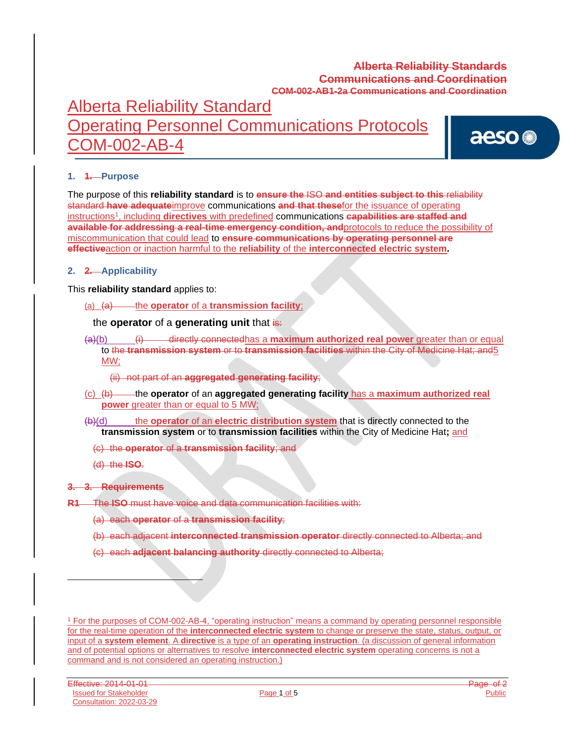# Alberta Reliability Standard Operating Personnel Communications Protocols COM-002-AB-4

aeso<sup>®</sup>

### **1. 1. Purpose**

The purpose of this **reliability standard** is to **ensure the** ISO **and entities subject to this** reliability standard **have adequate**improve communications **and that these**for the issuance of operating instructions<sup>1</sup> , including **directives** with predefined communications **capabilities are staffed and available for addressing a real-time emergency condition, and**protocols to reduce the possibility of miscommunication that could lead to **ensure communications by operating personnel are effective**action or inaction harmful to the **reliability** of the **interconnected electric system.**

#### **2. 2. Applicability**

This **reliability standard** applies to:

(a) (a) the **operator** of a **transmission facility**;

### the **operator** of a **generating unit** that is:

- (a)(b) (i) directly connectedhas a **maximum authorized real power** greater than or equal to the **transmission system** or to **transmission facilities** within the City of Medicine Hat; and5 MW;
	- (ii) not part of an **aggregated generating facility**;
- (c) (b) the **operator** of an **aggregated generating facility** has a **maximum authorized real power** greater than or equal to 5 MW;
- (b)(d) the **operator** of an **electric distribution system** that is directly connected to the **transmission system** or to **transmission facilities** within the City of Medicine Hat**;** and

(c) the **operator** of a **transmission facility**; and

(d) the **ISO**.

#### **3. 3. Requirements**

**R1** The **ISO** must have voice and data communication facilities with:

- (a) each **operator** of a **transmission facility**;
- (b) each adjacent **interconnected transmission operator** directly connected to Alberta; and
- (c) each **adjacent balancing authority** directly connected to Alberta;

<sup>1</sup> For the purposes of COM-002-AB-4, "operating instruction" means a command by operating personnel responsible for the real-time operation of the **interconnected electric system** to change or preserve the state, status, output, or input of a **system element**. A **directive** is a type of an **operating instruction**. (a discussion of general information and of potential options or alternatives to resolve **interconnected electric system** operating concerns is not a command and is not considered an operating instruction.)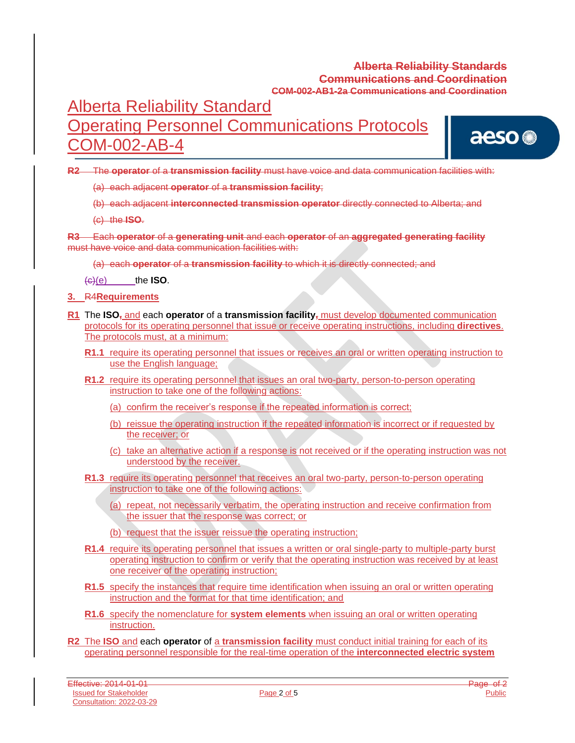# Alberta Reliability Standard Operating Personnel Communications Protocols COM-002-AB-4

aeso<sup>®</sup>

**R2** The **operator** of a **transmission facility** must have voice and data communication facilities with:

(a) each adjacent **operator** of a **transmission facility**;

(b) each adjacent **interconnected transmission operator** directly connected to Alberta; and

(c) the **ISO**.

**R3** Each **operator** of a **generating unit** and each **operator** of an **aggregated generating facility** must have voice and data communication facilities with:

(a) each **operator** of a **transmission facility** to which it is directly connected; and

 $\left(\frac{c}{c}\right)(e)$  the **ISO**.

**3.** R4**Requirements**

- **R1** The **ISO,** and each **operator** of a **transmission facility,** must develop documented communication protocols for its operating personnel that issue or receive operating instructions, including **directives**. The protocols must, at a minimum:
	- **R1.1** require its operating personnel that issues or receives an oral or written operating instruction to use the English language;
	- **R1.2** require its operating personnel that issues an oral two-party, person-to-person operating instruction to take one of the following actions:
		- (a) confirm the receiver's response if the repeated information is correct;
		- (b) reissue the operating instruction if the repeated information is incorrect or if requested by the receiver; or
		- (c) take an alternative action if a response is not received or if the operating instruction was not understood by the receiver.
	- **R1.3** require its operating personnel that receives an oral two-party, person-to-person operating instruction to take one of the following actions:
		- (a) repeat, not necessarily verbatim, the operating instruction and receive confirmation from the issuer that the response was correct; or
		- (b) request that the issuer reissue the operating instruction;
	- **R1.4** require its operating personnel that issues a written or oral single-party to multiple-party burst operating instruction to confirm or verify that the operating instruction was received by at least one receiver of the operating instruction;
	- **R1.5** specify the instances that require time identification when issuing an oral or written operating instruction and the format for that time identification; and
	- **R1.6** specify the nomenclature for **system elements** when issuing an oral or written operating instruction.
- **R2** The **ISO** and each **operator** of a **transmission facility** must conduct initial training for each of its operating personnel responsible for the real-time operation of the **interconnected electric system**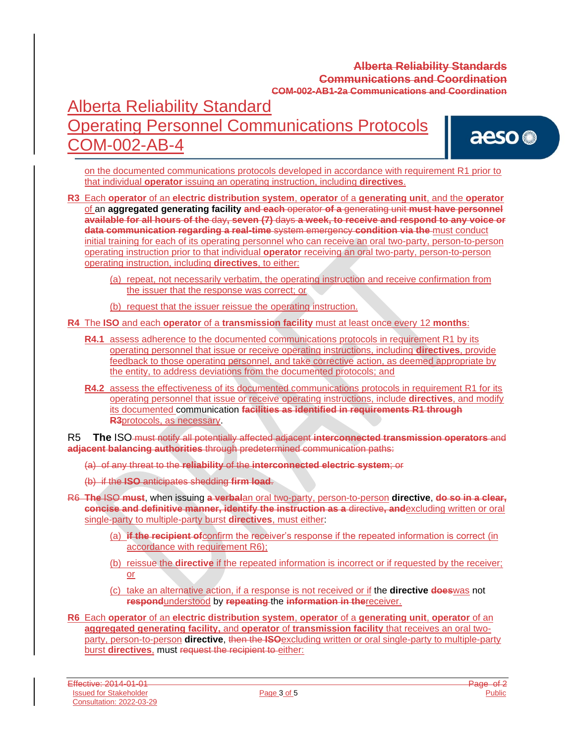# Alberta Reliability Standard Operating Personnel Communications Protocols COM-002-AB-4

aeso<sup>®</sup>

on the documented communications protocols developed in accordance with requirement R1 prior to that individual **operator** issuing an operating instruction, including **directives**.

**R3** Each **operator** of an **electric distribution system**, **operator** of a **generating unit**, and the **operator** of an **aggregated generating facility and each** operator **of a** generating unit **must have personnel available for all hours of the** day**, seven (7)** days **a week, to receive and respond to any voice or data communication regarding a real-time** system emergency **condition via the** must conduct initial training for each of its operating personnel who can receive an oral two-party, person-to-person operating instruction prior to that individual **operator** receiving an oral two-party, person-to-person operating instruction, including **directives**, to either:

- (a) repeat, not necessarily verbatim, the operating instruction and receive confirmation from the issuer that the response was correct; or
- (b) request that the issuer reissue the operating instruction.

**R4** The **ISO** and each **operator** of a **transmission facility** must at least once every 12 **months**:

- **R4.1** assess adherence to the documented communications protocols in requirement R1 by its operating personnel that issue or receive operating instructions, including **directives**, provide feedback to those operating personnel, and take corrective action, as deemed appropriate by the entity, to address deviations from the documented protocols; and
- **R4.2** assess the effectiveness of its documented communications protocols in requirement R1 for its operating personnel that issue or receive operating instructions, include **directives**, and modify its documented communication **facilities as identified in requirements R1 through R3**protocols, as necessary.

R5 **The** ISO must notify all potentially affected adjacent **interconnected transmission operators** and **adjacent balancing authorities** through predetermined communication paths:

- (a) of any threat to the **reliability** of the **interconnected electric system**; or
- (b) if the **ISO** anticipates shedding **firm load**.
- R6 **The** ISO **must**, when issuing **a verbal**an oral two-party, person-to-person **directive**, **do so in a clear, concise and definitive manner, identify the instruction as a** directive**, and**excluding written or oral single-party to multiple-party burst **directives**, must either:
	- (a) **if the recipient of**confirm the receiver's response if the repeated information is correct (in accordance with requirement R6);
	- (b) reissue the **directive** if the repeated information is incorrect or if requested by the receiver; or
	- (c) take an alternative action, if a response is not received or if the **directive does**was not **respond**understood by **repeating** the **information in the**receiver.
- **R6** Each **operator** of an **electric distribution system**, **operator** of a **generating unit**, **operator** of an **aggregated generating facility,** and **operator** of **transmission facility** that receives an oral twoparty, person-to-person **directive**, then the **ISO**excluding written or oral single-party to multiple-party burst **directives**, must request the recipient to either: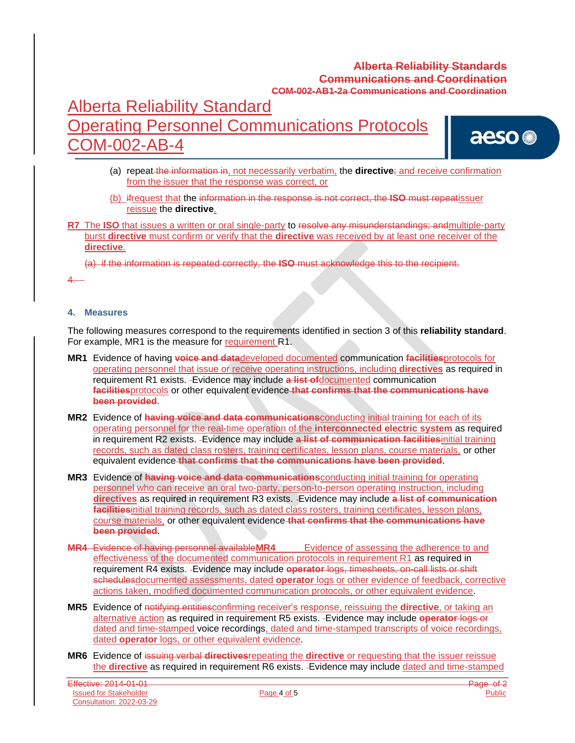# Alberta Reliability Standard Operating Personnel Communications Protocols OM-002-AB-4

aeso<sup>®</sup>

- (a) repeat the information in, not necessarily verbatim, the **directive**; and receive confirmation from the issuer that the response was correct, or
- (b) ifrequest that the information in the response is not correct, the **ISO** must repeatissuer reissue the **directive**.
- **R7** The **ISO** that issues a written or oral single-party to resolve any misunderstandings; andmultiple-party burst **directive** must confirm or verify that the **directive** was received by at least one receiver of the **directive**.

(a) if the information is repeated correctly, the **ISO** must acknowledge this to the recipient.

4.

#### **4. Measures**

The following measures correspond to the requirements identified in section 3 of this **reliability standard**. For example, MR1 is the measure for requirement R1.

- **MR1** Evidence of having **voice and data**developed documented communication **facilities**protocols for operating personnel that issue or receive operating instructions, including **directives** as required in requirement R1 exists. Evidence may include **a list of**documented communication **facilities**protocols or other equivalent evidence **that confirms that the communications have been provided**.
- **MR2** Evidence of **having voice and data communications**conducting initial training for each of its operating personnel for the real-time operation of the **interconnected electric system** as required in requirement R2 exists. Evidence may include **a list of communication facilities**initial training records, such as dated class rosters, training certificates, lesson plans, course materials, or other equivalent evidence **that confirms that the communications have been provided**.
- **MR3** Evidence of **having voice and data communications**conducting initial training for operating personnel who can receive an oral two-party, person-to-person operating instruction, including **directives** as required in requirement R3 exists. Evidence may include **a list of communication facilities**initial training records, such as dated class rosters, training certificates, lesson plans, course materials, or other equivalent evidence **that confirms that the communications have been provided**.
- **MR4** Evidence of having personnel available**MR4** Evidence of assessing the adherence to and effectiveness of the documented communication protocols in requirement R1 as required in requirement R4 exists. Evidence may include **operator** logs, timesheets, on-call lists or shift schedulesdocumented assessments, dated **operator** logs or other evidence of feedback, corrective actions taken, modified documented communication protocols, or other equivalent evidence.
- **MR5** Evidence of notifying entitiesconfirming receiver's response, reissuing the **directive**, or taking an alternative action as required in requirement R5 exists. Evidence may include **operator** logs or dated and time-stamped voice recordings, dated and time-stamped transcripts of voice recordings, dated **operator** logs, or other equivalent evidence.
- **MR6** Evidence of issuing verbal **directives**repeating the **directive** or requesting that the issuer reissue the **directive** as required in requirement R6 exists. Evidence may include dated and time-stamped